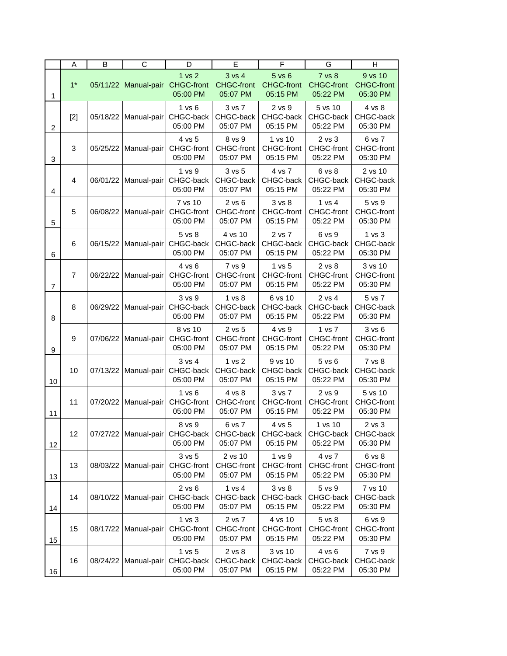|                | A                | B        | $\overline{C}$       | D                                                  | E                                           | F                                                  | G                                              | H                                        |
|----------------|------------------|----------|----------------------|----------------------------------------------------|---------------------------------------------|----------------------------------------------------|------------------------------------------------|------------------------------------------|
| 1              | $1*$             |          | 05/11/22 Manual-pair | 1 <sub>vs</sub> 2<br><b>CHGC-front</b><br>05:00 PM | $3$ vs $4$<br><b>CHGC-front</b><br>05:07 PM | 5 <sub>vs</sub> 6<br><b>CHGC-front</b><br>05:15 PM | <b>7 vs 8</b><br><b>CHGC-front</b><br>05:22 PM | 9 vs 10<br><b>CHGC-front</b><br>05:30 PM |
| $\overline{c}$ | $[2]$            | 05/18/22 | Manual-pair          | 1 vs 6<br>CHGC-back<br>05:00 PM                    | 3 vs 7<br>CHGC-back<br>05:07 PM             | 2 vs 9<br>CHGC-back<br>05:15 PM                    | 5 vs 10<br>CHGC-back<br>05:22 PM               | 4 vs 8<br>CHGC-back<br>05:30 PM          |
| 3              | 3                | 05/25/22 | Manual-pair          | 4 vs 5<br><b>CHGC-front</b><br>05:00 PM            | 8 vs 9<br>CHGC-front<br>05:07 PM            | 1 vs 10<br>CHGC-front<br>05:15 PM                  | 2 vs 3<br>CHGC-front<br>05:22 PM               | 6 vs 7<br>CHGC-front<br>05:30 PM         |
| $\overline{4}$ | $\overline{4}$   | 06/01/22 | Manual-pair          | 1 vs 9<br>CHGC-back<br>05:00 PM                    | 3 vs 5<br>CHGC-back<br>05:07 PM             | 4 vs 7<br>CHGC-back<br>05:15 PM                    | 6 vs 8<br>CHGC-back<br>05:22 PM                | 2 vs 10<br>CHGC-back<br>05:30 PM         |
| 5              | 5                | 06/08/22 | Manual-pair          | 7 vs 10<br>CHGC-front<br>05:00 PM                  | $2$ vs $6$<br>CHGC-front<br>05:07 PM        | 3 vs 8<br>CHGC-front<br>05:15 PM                   | 1 vs 4<br>CHGC-front<br>05:22 PM               | 5 vs 9<br>CHGC-front<br>05:30 PM         |
| 6              | 6                | 06/15/22 | Manual-pair          | 5 vs 8<br>CHGC-back<br>05:00 PM                    | 4 vs 10<br>CHGC-back<br>05:07 PM            | 2 vs 7<br>CHGC-back<br>05:15 PM                    | 6 vs 9<br>CHGC-back<br>05:22 PM                | 1 vs 3<br>CHGC-back<br>05:30 PM          |
| $\overline{7}$ | $\overline{7}$   | 06/22/22 | Manual-pair          | 4 vs 6<br>CHGC-front<br>05:00 PM                   | 7 vs 9<br>CHGC-front<br>05:07 PM            | 1 vs 5<br>CHGC-front<br>05:15 PM                   | 2 vs 8<br>CHGC-front<br>05:22 PM               | 3 vs 10<br>CHGC-front<br>05:30 PM        |
| 8              | 8                | 06/29/22 | Manual-pair          | 3 vs 9<br>CHGC-back<br>05:00 PM                    | 1 vs 8<br>CHGC-back<br>05:07 PM             | 6 vs 10<br>CHGC-back<br>05:15 PM                   | 2 vs 4<br>CHGC-back<br>05:22 PM                | 5 vs 7<br>CHGC-back<br>05:30 PM          |
| 9              | $\boldsymbol{9}$ | 07/06/22 | Manual-pair          | 8 vs 10<br>CHGC-front<br>05:00 PM                  | 2 vs 5<br>CHGC-front<br>05:07 PM            | 4 vs 9<br>CHGC-front<br>05:15 PM                   | 1 vs 7<br>CHGC-front<br>05:22 PM               | 3 v s 6<br>CHGC-front<br>05:30 PM        |
| 10             | 10               | 07/13/22 | Manual-pair          | $3$ vs $4$<br>CHGC-back<br>05:00 PM                | 1 vs 2<br>CHGC-back<br>05:07 PM             | 9 vs 10<br>CHGC-back<br>05:15 PM                   | 5 vs 6<br>CHGC-back<br>05:22 PM                | 7 vs 8<br>CHGC-back<br>05:30 PM          |
| 11             | 11               | 07/20/22 | Manual-pair          | 1 vs 6<br>CHGC-front<br>05:00 PM                   | 4 vs 8<br>CHGC-front<br>05:07 PM            | 3 vs 7<br>CHGC-front<br>05:15 PM                   | 2 vs 9<br>CHGC-front<br>05:22 PM               | 5 vs 10<br><b>CHGC-front</b><br>05:30 PM |
| 12             | 12               | 07/27/22 | Manual-pair          | 8 vs 9<br>CHGC-back<br>05:00 PM                    | 6 vs 7<br>CHGC-back<br>05:07 PM             | 4 vs 5<br>CHGC-back<br>05:15 PM                    | 1 vs 10<br>CHGC-back<br>05:22 PM               | 2 vs 3<br>CHGC-back<br>05:30 PM          |
| 13             | 13               | 08/03/22 | Manual-pair          | $3$ vs $5$<br>CHGC-front<br>05:00 PM               | 2 vs 10<br>CHGC-front<br>05:07 PM           | 1 vs 9<br>CHGC-front<br>05:15 PM                   | 4 vs 7<br><b>CHGC-front</b><br>05:22 PM        | 6 vs 8<br><b>CHGC-front</b><br>05:30 PM  |
| 14             | 14               | 08/10/22 | Manual-pair          | $2$ vs $6$<br>CHGC-back<br>05:00 PM                | 1 vs 4<br>CHGC-back<br>05:07 PM             | 3 <sub>vs</sub> 8<br>CHGC-back<br>05:15 PM         | 5 vs 9<br>CHGC-back<br>05:22 PM                | 7 vs 10<br>CHGC-back<br>05:30 PM         |
| 15             | 15               | 08/17/22 | Manual-pair          | 1 vs 3<br>CHGC-front<br>05:00 PM                   | 2 vs 7<br><b>CHGC-front</b><br>05:07 PM     | 4 vs 10<br>CHGC-front<br>05:15 PM                  | 5 vs 8<br><b>CHGC-front</b><br>05:22 PM        | 6 vs 9<br><b>CHGC-front</b><br>05:30 PM  |
| 16             | 16               | 08/24/22 | Manual-pair          | 1 vs 5<br>CHGC-back<br>05:00 PM                    | 2 vs 8<br>CHGC-back<br>05:07 PM             | 3 vs 10<br>CHGC-back<br>05:15 PM                   | 4 vs 6<br>CHGC-back<br>05:22 PM                | 7 vs 9<br>CHGC-back<br>05:30 PM          |